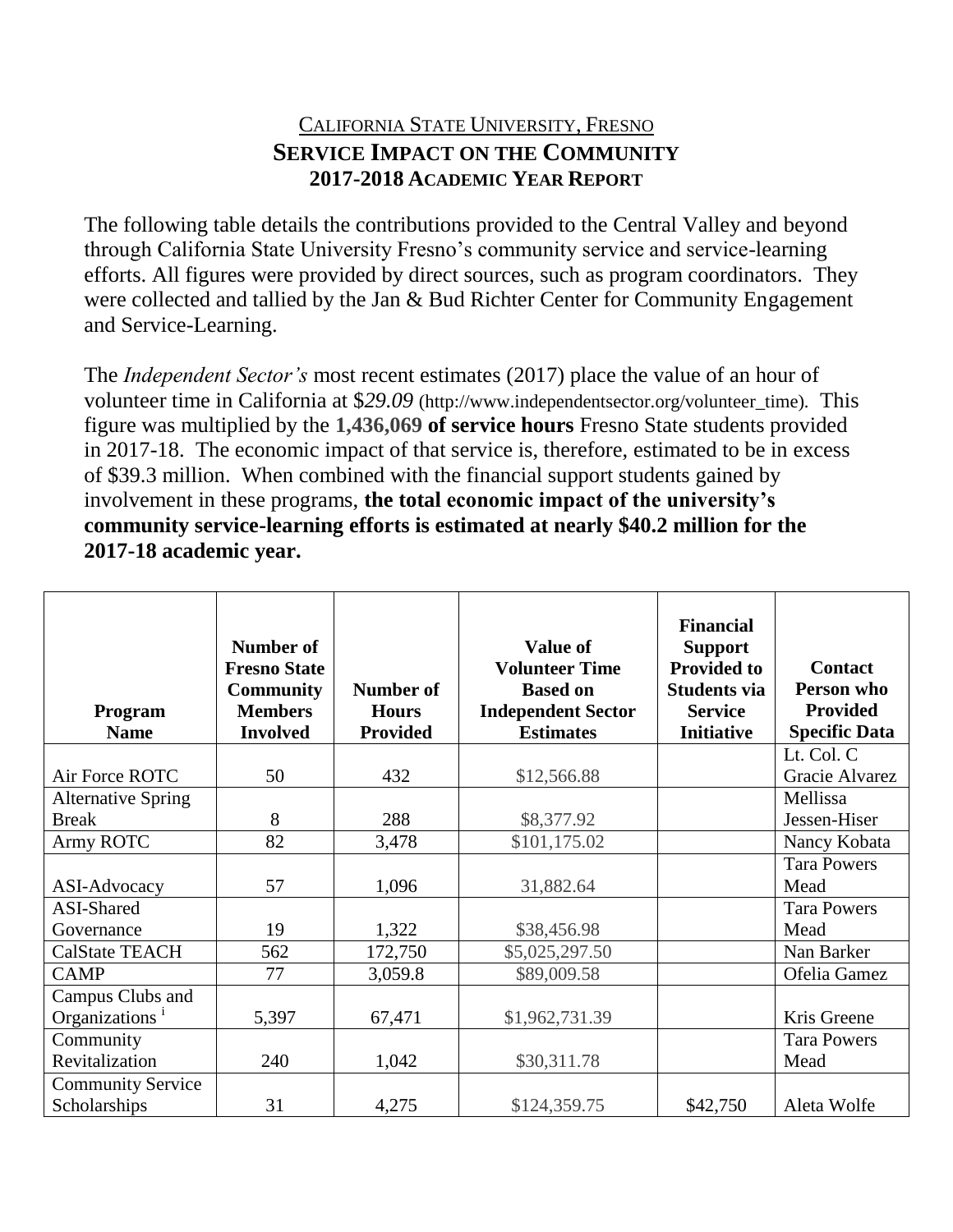## CALIFORNIA STATE UNIVERSITY, FRESNO **SERVICE IMPACT ON THE COMMUNITY 2017-2018 ACADEMIC YEAR REPORT**

The following table details the contributions provided to the Central Valley and beyond through California State University Fresno's community service and service-learning efforts. All figures were provided by direct sources, such as program coordinators. They were collected and tallied by the Jan & Bud Richter Center for Community Engagement and Service-Learning.

The *Independent Sector's* most recent estimates (2017) place the value of an hour of volunteer time in California at \$*29.09* (http://www.independentsector.org/volunteer\_time)*.* This figure was multiplied by the **1,436,069 of service hours** Fresno State students provided in 2017-18. The economic impact of that service is, therefore, estimated to be in excess of \$39.3 million. When combined with the financial support students gained by involvement in these programs, **the total economic impact of the university's community service-learning efforts is estimated at nearly \$40.2 million for the 2017-18 academic year.**

| Program<br><b>Name</b>     | Number of<br><b>Fresno State</b><br><b>Community</b><br><b>Members</b><br><b>Involved</b> | Number of<br><b>Hours</b><br><b>Provided</b> | <b>Value of</b><br><b>Volunteer Time</b><br><b>Based on</b><br><b>Independent Sector</b><br><b>Estimates</b> | <b>Financial</b><br><b>Support</b><br><b>Provided to</b><br><b>Students via</b><br><b>Service</b><br><b>Initiative</b> | <b>Contact</b><br>Person who<br><b>Provided</b><br><b>Specific Data</b> |
|----------------------------|-------------------------------------------------------------------------------------------|----------------------------------------------|--------------------------------------------------------------------------------------------------------------|------------------------------------------------------------------------------------------------------------------------|-------------------------------------------------------------------------|
|                            |                                                                                           |                                              |                                                                                                              |                                                                                                                        | Lt. Col. C                                                              |
| Air Force ROTC             | 50                                                                                        | 432                                          | \$12,566.88                                                                                                  |                                                                                                                        | Gracie Alvarez                                                          |
| <b>Alternative Spring</b>  |                                                                                           |                                              |                                                                                                              |                                                                                                                        | Mellissa                                                                |
| <b>Break</b>               | 8                                                                                         | 288                                          | \$8,377.92                                                                                                   |                                                                                                                        | Jessen-Hiser                                                            |
| Army ROTC                  | 82                                                                                        | 3,478                                        | \$101,175.02                                                                                                 |                                                                                                                        | Nancy Kobata                                                            |
|                            |                                                                                           |                                              |                                                                                                              |                                                                                                                        | <b>Tara Powers</b>                                                      |
| ASI-Advocacy               | 57                                                                                        | 1,096                                        | 31,882.64                                                                                                    |                                                                                                                        | Mead                                                                    |
| ASI-Shared                 |                                                                                           |                                              |                                                                                                              |                                                                                                                        | <b>Tara Powers</b>                                                      |
| Governance                 | 19                                                                                        | 1,322                                        | \$38,456.98                                                                                                  |                                                                                                                        | Mead                                                                    |
| <b>CalState TEACH</b>      | 562                                                                                       | 172,750                                      | \$5,025,297.50                                                                                               |                                                                                                                        | Nan Barker                                                              |
| <b>CAMP</b>                | 77                                                                                        | 3,059.8                                      | \$89,009.58                                                                                                  |                                                                                                                        | Ofelia Gamez                                                            |
| Campus Clubs and           |                                                                                           |                                              |                                                                                                              |                                                                                                                        | Kris Greene                                                             |
| Organizations <sup>1</sup> | 5,397                                                                                     | 67,471                                       | \$1,962,731.39                                                                                               |                                                                                                                        |                                                                         |
| Community                  |                                                                                           |                                              |                                                                                                              |                                                                                                                        | <b>Tara Powers</b>                                                      |
| Revitalization             | 240                                                                                       | 1,042                                        | \$30,311.78                                                                                                  |                                                                                                                        | Mead                                                                    |
| <b>Community Service</b>   |                                                                                           |                                              |                                                                                                              |                                                                                                                        |                                                                         |
| Scholarships               | 31                                                                                        | 4,275                                        | \$124,359.75                                                                                                 | \$42,750                                                                                                               | Aleta Wolfe                                                             |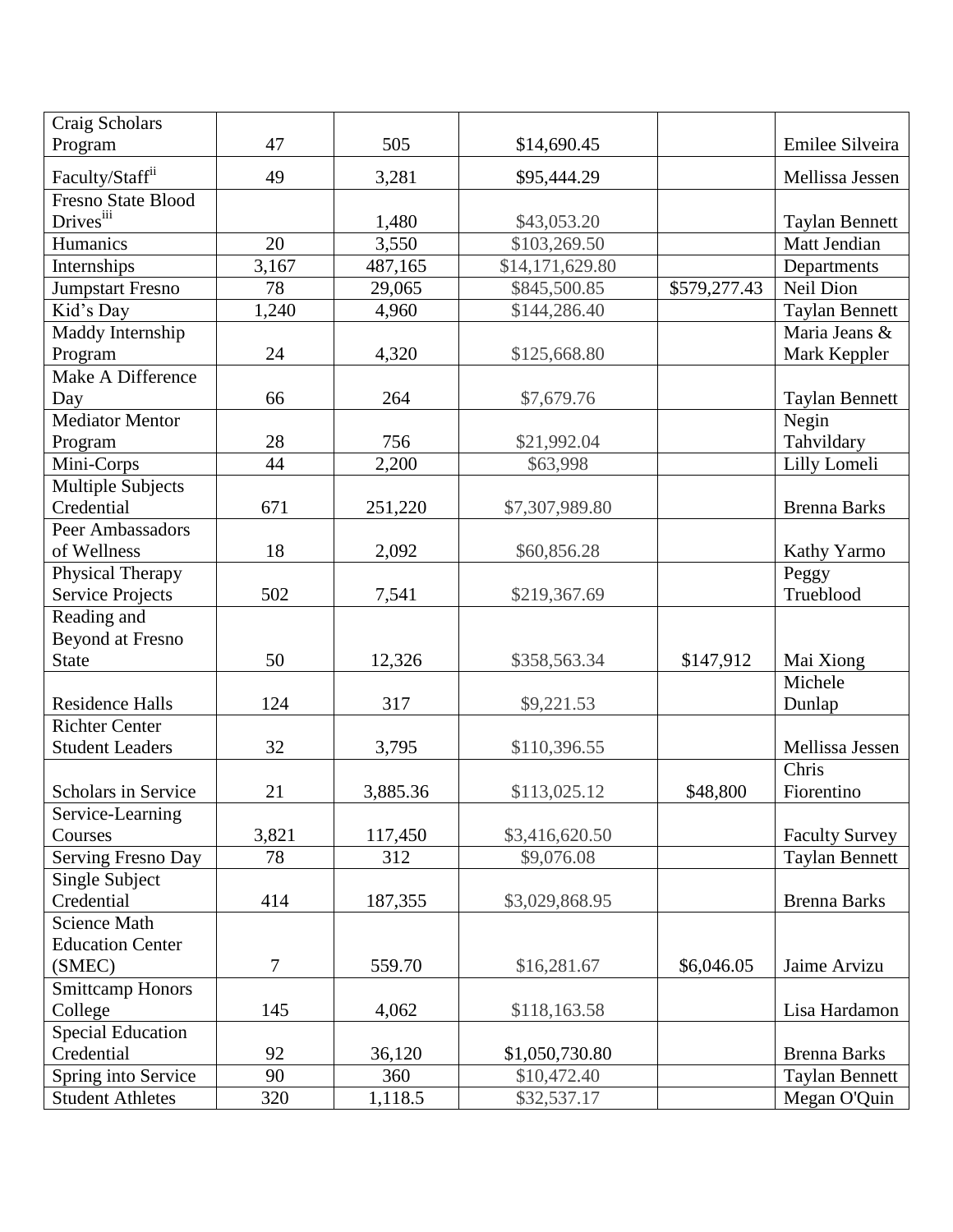| Craig Scholars              |       |          |                 |              |                       |
|-----------------------------|-------|----------|-----------------|--------------|-----------------------|
| Program                     | 47    | 505      | \$14,690.45     |              | Emilee Silveira       |
| Faculty/Staff <sup>ii</sup> | 49    | 3,281    | \$95,444.29     |              | Mellissa Jessen       |
| <b>Fresno State Blood</b>   |       |          |                 |              |                       |
| Drivesiii                   |       | 1,480    | \$43,053.20     |              | <b>Taylan Bennett</b> |
| Humanics                    | 20    | 3,550    | \$103,269.50    |              | Matt Jendian          |
| Internships                 | 3,167 | 487,165  | \$14,171,629.80 |              | Departments           |
| <b>Jumpstart Fresno</b>     | 78    | 29,065   | \$845,500.85    | \$579,277.43 | Neil Dion             |
| Kid's Day                   | 1,240 | 4,960    | \$144,286.40    |              | <b>Taylan Bennett</b> |
| Maddy Internship            |       |          |                 |              | Maria Jeans &         |
| Program                     | 24    | 4,320    | \$125,668.80    |              | Mark Keppler          |
| Make A Difference           |       |          |                 |              |                       |
| Day                         | 66    | 264      | \$7,679.76      |              | <b>Taylan Bennett</b> |
| <b>Mediator Mentor</b>      |       |          |                 |              | Negin                 |
| Program                     | 28    | 756      | \$21,992.04     |              | Tahvildary            |
| Mini-Corps                  | 44    | 2,200    | \$63,998        |              | Lilly Lomeli          |
| <b>Multiple Subjects</b>    |       |          |                 |              |                       |
| Credential                  | 671   | 251,220  | \$7,307,989.80  |              | <b>Brenna Barks</b>   |
| Peer Ambassadors            |       |          |                 |              |                       |
| of Wellness                 | 18    | 2,092    | \$60,856.28     |              | Kathy Yarmo           |
| Physical Therapy            |       |          |                 |              | Peggy                 |
| Service Projects            | 502   | 7,541    | \$219,367.69    |              | Trueblood             |
| Reading and                 |       |          |                 |              |                       |
| <b>Beyond at Fresno</b>     |       |          |                 |              |                       |
| <b>State</b>                | 50    | 12,326   | \$358,563.34    | \$147,912    | Mai Xiong             |
| <b>Residence Halls</b>      | 124   | 317      | \$9,221.53      |              | Michele<br>Dunlap     |
| <b>Richter Center</b>       |       |          |                 |              |                       |
| <b>Student Leaders</b>      | 32    | 3,795    | \$110,396.55    |              | Mellissa Jessen       |
|                             |       |          |                 |              | Chris                 |
| Scholars in Service         | 21    | 3,885.36 | \$113,025.12    | \$48,800     | Fiorentino            |
| Service-Learning            |       |          |                 |              |                       |
| Courses                     | 3,821 | 117,450  | \$3,416,620.50  |              | <b>Faculty Survey</b> |
| Serving Fresno Day          | 78    | 312      | \$9,076.08      |              | <b>Taylan Bennett</b> |
| Single Subject              |       |          |                 |              |                       |
| Credential                  | 414   | 187,355  | \$3,029,868.95  |              | <b>Brenna Barks</b>   |
| <b>Science Math</b>         |       |          |                 |              |                       |
| <b>Education Center</b>     |       |          |                 |              |                       |
| (SMEC)                      | 7     | 559.70   | \$16,281.67     | \$6,046.05   | Jaime Arvizu          |
| <b>Smittcamp Honors</b>     |       |          |                 |              |                       |
| College                     | 145   | 4,062    | \$118,163.58    |              | Lisa Hardamon         |
| <b>Special Education</b>    |       |          |                 |              |                       |
| Credential                  | 92    | 36,120   | \$1,050,730.80  |              | <b>Brenna Barks</b>   |
| Spring into Service         | 90    | 360      | \$10,472.40     |              | <b>Taylan Bennett</b> |
| <b>Student Athletes</b>     | 320   | 1,118.5  | \$32,537.17     |              | Megan O'Quin          |